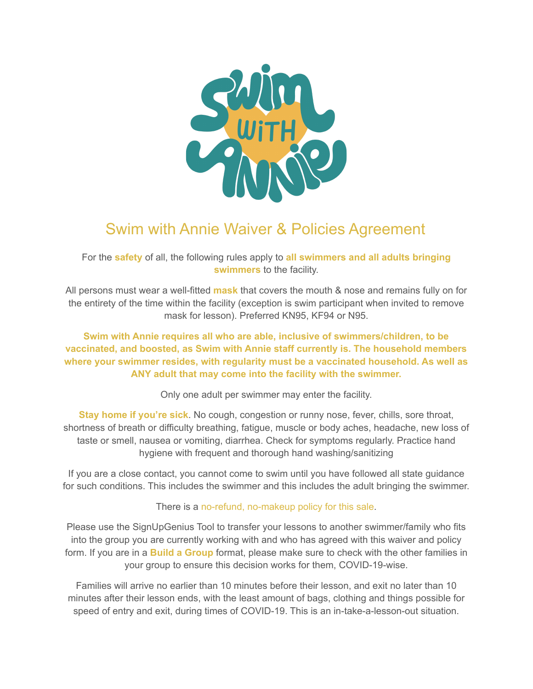

## Swim with Annie Waiver & Policies Agreement

For the **safety** of all, the following rules apply to **all swimmers and all adults bringing swimmers** to the facility.

All persons must wear a well-fitted **mask** that covers the mouth & nose and remains fully on for the entirety of the time within the facility (exception is swim participant when invited to remove mask for lesson). Preferred KN95, KF94 or N95.

**Swim with Annie requires all who are able, inclusive of swimmers/children, to be vaccinated, and boosted, as Swim with Annie staff currently is. The household members where your swimmer resides, with regularity must be a vaccinated household. As well as ANY adult that may come into the facility with the swimmer.**

Only one adult per swimmer may enter the facility.

**Stay home if you're sick**. No cough, congestion or runny nose, fever, chills, sore throat, shortness of breath or difficulty breathing, fatigue, muscle or body aches, headache, new loss of taste or smell, nausea or vomiting, diarrhea. Check for symptoms regularly. Practice hand hygiene with frequent and thorough hand washing/sanitizing

If you are a close contact, you cannot come to swim until you have followed all state guidance for such conditions. This includes the swimmer and this includes the adult bringing the swimmer.

There is a no-refund, no-makeup policy for this sale.

Please use the SignUpGenius Tool to transfer your lessons to another swimmer/family who fits into the group you are currently working with and who has agreed with this waiver and policy form. If you are in a **Build a Group** format, please make sure to check with the other families in your group to ensure this decision works for them, COVID-19-wise.

Families will arrive no earlier than 10 minutes before their lesson, and exit no later than 10 minutes after their lesson ends, with the least amount of bags, clothing and things possible for speed of entry and exit, during times of COVID-19. This is an in-take-a-lesson-out situation.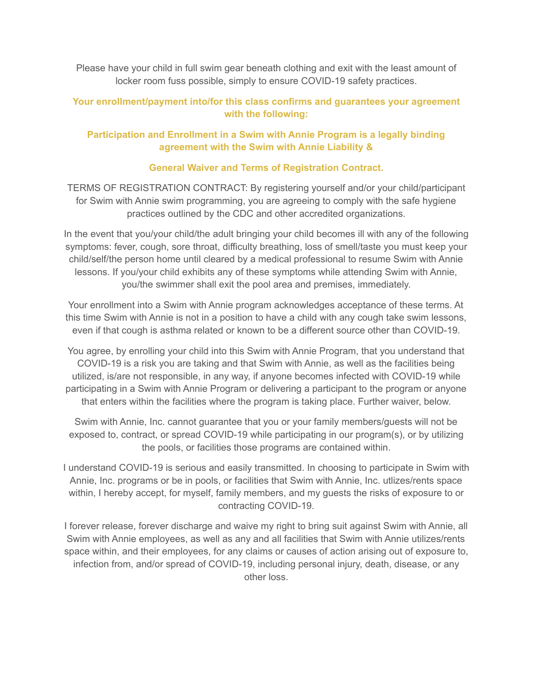Please have your child in full swim gear beneath clothing and exit with the least amount of locker room fuss possible, simply to ensure COVID-19 safety practices.

## **Your enrollment/payment into/for this class confirms and guarantees your agreement with the following:**

## **Participation and Enrollment in a Swim with Annie Program is a legally binding agreement with the Swim with Annie Liability &**

## **General Waiver and Terms of Registration Contract.**

TERMS OF REGISTRATION CONTRACT: By registering yourself and/or your child/participant for Swim with Annie swim programming, you are agreeing to comply with the safe hygiene practices outlined by the CDC and other accredited organizations.

In the event that you/your child/the adult bringing your child becomes ill with any of the following symptoms: fever, cough, sore throat, difficulty breathing, loss of smell/taste you must keep your child/self/the person home until cleared by a medical professional to resume Swim with Annie lessons. If you/your child exhibits any of these symptoms while attending Swim with Annie, you/the swimmer shall exit the pool area and premises, immediately.

Your enrollment into a Swim with Annie program acknowledges acceptance of these terms. At this time Swim with Annie is not in a position to have a child with any cough take swim lessons, even if that cough is asthma related or known to be a different source other than COVID-19.

You agree, by enrolling your child into this Swim with Annie Program, that you understand that COVID-19 is a risk you are taking and that Swim with Annie, as well as the facilities being utilized, is/are not responsible, in any way, if anyone becomes infected with COVID-19 while participating in a Swim with Annie Program or delivering a participant to the program or anyone that enters within the facilities where the program is taking place. Further waiver, below.

Swim with Annie, Inc. cannot guarantee that you or your family members/guests will not be exposed to, contract, or spread COVID-19 while participating in our program(s), or by utilizing the pools, or facilities those programs are contained within.

I understand COVID-19 is serious and easily transmitted. In choosing to participate in Swim with Annie, Inc. programs or be in pools, or facilities that Swim with Annie, Inc. utlizes/rents space within, I hereby accept, for myself, family members, and my guests the risks of exposure to or contracting COVID-19.

I forever release, forever discharge and waive my right to bring suit against Swim with Annie, all Swim with Annie employees, as well as any and all facilities that Swim with Annie utilizes/rents space within, and their employees, for any claims or causes of action arising out of exposure to, infection from, and/or spread of COVID-19, including personal injury, death, disease, or any other loss.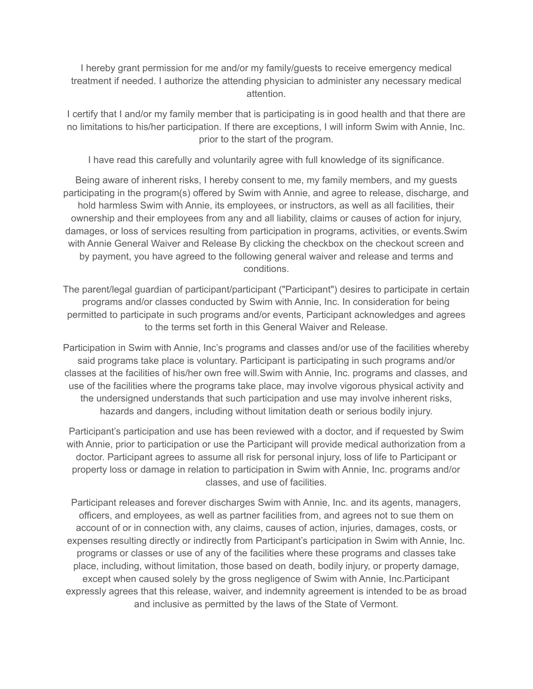I hereby grant permission for me and/or my family/guests to receive emergency medical treatment if needed. I authorize the attending physician to administer any necessary medical attention.

I certify that I and/or my family member that is participating is in good health and that there are no limitations to his/her participation. If there are exceptions, I will inform Swim with Annie, Inc. prior to the start of the program.

I have read this carefully and voluntarily agree with full knowledge of its significance.

Being aware of inherent risks, I hereby consent to me, my family members, and my guests participating in the program(s) offered by Swim with Annie, and agree to release, discharge, and hold harmless Swim with Annie, its employees, or instructors, as well as all facilities, their ownership and their employees from any and all liability, claims or causes of action for injury, damages, or loss of services resulting from participation in programs, activities, or events.Swim with Annie General Waiver and Release By clicking the checkbox on the checkout screen and by payment, you have agreed to the following general waiver and release and terms and conditions.

The parent/legal guardian of participant/participant ("Participant") desires to participate in certain programs and/or classes conducted by Swim with Annie, Inc. In consideration for being permitted to participate in such programs and/or events, Participant acknowledges and agrees to the terms set forth in this General Waiver and Release.

Participation in Swim with Annie, Inc's programs and classes and/or use of the facilities whereby said programs take place is voluntary. Participant is participating in such programs and/or classes at the facilities of his/her own free will.Swim with Annie, Inc. programs and classes, and use of the facilities where the programs take place, may involve vigorous physical activity and the undersigned understands that such participation and use may involve inherent risks, hazards and dangers, including without limitation death or serious bodily injury.

Participant's participation and use has been reviewed with a doctor, and if requested by Swim with Annie, prior to participation or use the Participant will provide medical authorization from a doctor. Participant agrees to assume all risk for personal injury, loss of life to Participant or property loss or damage in relation to participation in Swim with Annie, Inc. programs and/or classes, and use of facilities.

Participant releases and forever discharges Swim with Annie, Inc. and its agents, managers, officers, and employees, as well as partner facilities from, and agrees not to sue them on account of or in connection with, any claims, causes of action, injuries, damages, costs, or expenses resulting directly or indirectly from Participant's participation in Swim with Annie, Inc. programs or classes or use of any of the facilities where these programs and classes take place, including, without limitation, those based on death, bodily injury, or property damage, except when caused solely by the gross negligence of Swim with Annie, Inc.Participant expressly agrees that this release, waiver, and indemnity agreement is intended to be as broad and inclusive as permitted by the laws of the State of Vermont.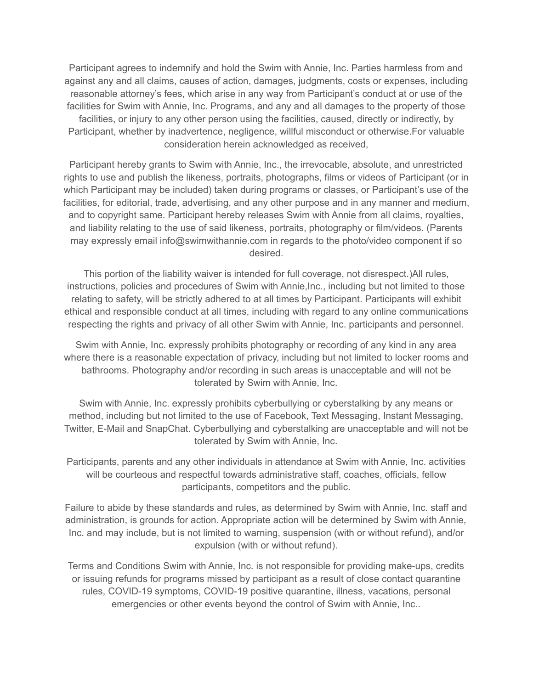Participant agrees to indemnify and hold the Swim with Annie, Inc. Parties harmless from and against any and all claims, causes of action, damages, judgments, costs or expenses, including reasonable attorney's fees, which arise in any way from Participant's conduct at or use of the facilities for Swim with Annie, Inc. Programs, and any and all damages to the property of those facilities, or injury to any other person using the facilities, caused, directly or indirectly, by Participant, whether by inadvertence, negligence, willful misconduct or otherwise.For valuable consideration herein acknowledged as received,

Participant hereby grants to Swim with Annie, Inc., the irrevocable, absolute, and unrestricted rights to use and publish the likeness, portraits, photographs, films or videos of Participant (or in which Participant may be included) taken during programs or classes, or Participant's use of the facilities, for editorial, trade, advertising, and any other purpose and in any manner and medium, and to copyright same. Participant hereby releases Swim with Annie from all claims, royalties, and liability relating to the use of said likeness, portraits, photography or film/videos. (Parents may expressly email info@swimwithannie.com in regards to the photo/video component if so desired.

This portion of the liability waiver is intended for full coverage, not disrespect.)All rules, instructions, policies and procedures of Swim with Annie,Inc., including but not limited to those relating to safety, will be strictly adhered to at all times by Participant. Participants will exhibit ethical and responsible conduct at all times, including with regard to any online communications respecting the rights and privacy of all other Swim with Annie, Inc. participants and personnel.

Swim with Annie, Inc. expressly prohibits photography or recording of any kind in any area where there is a reasonable expectation of privacy, including but not limited to locker rooms and bathrooms. Photography and/or recording in such areas is unacceptable and will not be tolerated by Swim with Annie, Inc.

Swim with Annie, Inc. expressly prohibits cyberbullying or cyberstalking by any means or method, including but not limited to the use of Facebook, Text Messaging, Instant Messaging, Twitter, E-Mail and SnapChat. Cyberbullying and cyberstalking are unacceptable and will not be tolerated by Swim with Annie, Inc.

Participants, parents and any other individuals in attendance at Swim with Annie, Inc. activities will be courteous and respectful towards administrative staff, coaches, officials, fellow participants, competitors and the public.

Failure to abide by these standards and rules, as determined by Swim with Annie, Inc. staff and administration, is grounds for action. Appropriate action will be determined by Swim with Annie, Inc. and may include, but is not limited to warning, suspension (with or without refund), and/or expulsion (with or without refund).

Terms and Conditions Swim with Annie, Inc. is not responsible for providing make-ups, credits or issuing refunds for programs missed by participant as a result of close contact quarantine rules, COVID-19 symptoms, COVID-19 positive quarantine, illness, vacations, personal emergencies or other events beyond the control of Swim with Annie, Inc..